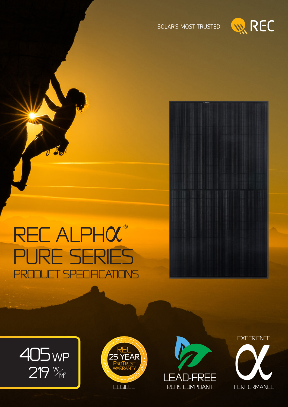



# REC ALPHOL® **PURE SERIES IFICATIONS SPF** PRI

 $v \triangleleft$